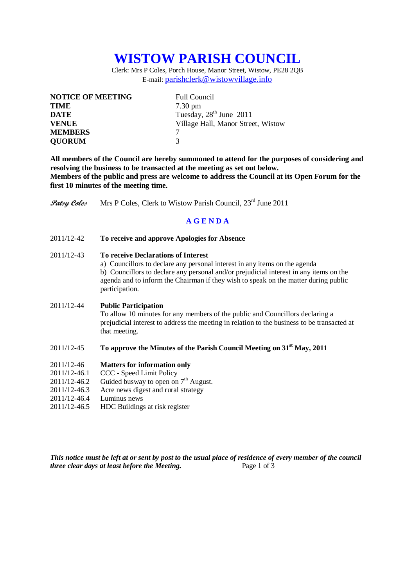# **WISTOW PARISH COUNCIL**

Clerk: Mrs P Coles, Porch House, Manor Street, Wistow, PE28 2QB E-mail: [parishclerk@wistowvillage.info](mailto:parishclerk@wistowvillage.info)

| <b>NOTICE OF MEETING</b> | <b>Full Council</b>                 |
|--------------------------|-------------------------------------|
| <b>TIME</b>              | $7.30 \text{ pm}$                   |
| <b>DATE</b>              | Tuesday, 28 <sup>th</sup> June 2011 |
| <b>VENUE</b>             | Village Hall, Manor Street, Wistow  |
| <b>MEMBERS</b>           |                                     |
| <b>QUORUM</b>            | 3                                   |

**All members of the Council are hereby summoned to attend for the purposes of considering and resolving the business to be transacted at the meeting as set out below. Members of the public and press are welcome to address the Council at its Open Forum for the first 10 minutes of the meeting time.**

**Patsy Coles** Mrs P Coles, Clerk to Wistow Parish Council, 23<sup>rd</sup> June 2011

# **A G E N D A**

2011/12-42 **To receive and approve Apologies for Absence**

## 2011/12-43 **To receive Declarations of Interest**

a) Councillors to declare any personal interest in any items on the agenda b) Councillors to declare any personal and/or prejudicial interest in any items on the agenda and to inform the Chairman if they wish to speak on the matter during public participation.

#### 2011/12-44 **Public Participation**

To allow 10 minutes for any members of the public and Councillors declaring a prejudicial interest to address the meeting in relation to the business to be transacted at that meeting.

# 2011/12-45 **To approve the Minutes of the Parish Council Meeting on 31st May, 2011**

### 2011/12-46 **Matters for information only**

- 2011/12-46.1 CCC Speed Limit Policy
- 2011/12-46.2 Guided busway to open on  $7<sup>th</sup>$  August.
- 2011/12-46.3 Acre news digest and rural strategy
- 2011/12-46.4 Luminus news
- 2011/12-46.5 HDC Buildings at risk register

*This notice must be left at or sent by post to the usual place of residence of every member of the council three clear days at least before the Meeting.* Page 1 of 3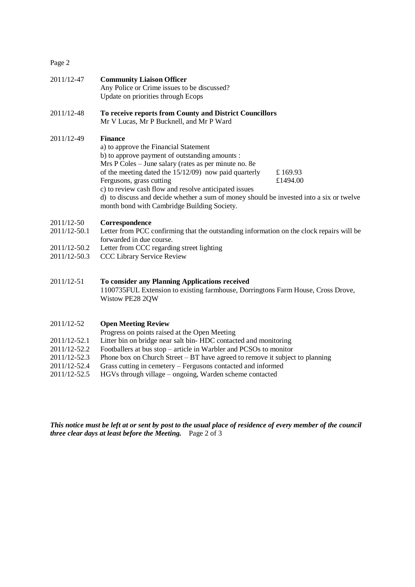Page 2

| 2011/12-47                                                 | <b>Community Liaison Officer</b><br>Any Police or Crime issues to be discussed?<br>Update on priorities through Ecops                                                                                                                                                                                                                                                                                                                                                              |
|------------------------------------------------------------|------------------------------------------------------------------------------------------------------------------------------------------------------------------------------------------------------------------------------------------------------------------------------------------------------------------------------------------------------------------------------------------------------------------------------------------------------------------------------------|
| 2011/12-48                                                 | To receive reports from County and District Councillors<br>Mr V Lucas, Mr P Bucknell, and Mr P Ward                                                                                                                                                                                                                                                                                                                                                                                |
| 2011/12-49                                                 | <b>Finance</b><br>a) to approve the Financial Statement<br>b) to approve payment of outstanding amounts :<br>Mrs P Coles – June salary (rates as per minute no. 8e<br>of the meeting dated the $15/12/09$ now paid quarterly<br>£169.93<br>Fergusons, grass cutting<br>£1494.00<br>c) to review cash flow and resolve anticipated issues<br>d) to discuss and decide whether a sum of money should be invested into a six or twelve<br>month bond with Cambridge Building Society. |
| 2011/12-50<br>2011/12-50.1<br>2011/12-50.2<br>2011/12-50.3 | Correspondence<br>Letter from PCC confirming that the outstanding information on the clock repairs will be<br>forwarded in due course.<br>Letter from CCC regarding street lighting<br><b>CCC Library Service Review</b>                                                                                                                                                                                                                                                           |
| 2011/12-51                                                 | To consider any Planning Applications received                                                                                                                                                                                                                                                                                                                                                                                                                                     |

1100735FUL Extension to existing farmhouse, Dorringtons Farm House, Cross Drove, Wistow PE28 2QW

- 2011/12-52 **Open Meeting Review**
- Progress on points raised at the Open Meeting
- 2011/12-52.1 Litter bin on bridge near salt bin- HDC contacted and monitoring
- 2011/12-52.2 Footballers at bus stop article in Warbler and PCSOs to monitor
- 2011/12-52.3 Phone box on Church Street BT have agreed to remove it subject to planning
- 2011/12-52.4 Grass cutting in cemetery Fergusons contacted and informed
- 2011/12-52.5 HGVs through village ongoing, Warden scheme contacted

*This notice must be left at or sent by post to the usual place of residence of every member of the council three clear days at least before the Meeting.* Page 2 of 3